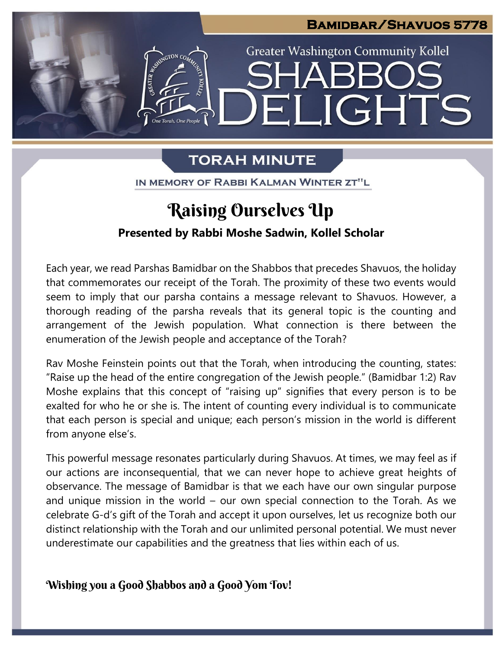

## **TORAH MINUTE**

IN MEMORY OF RABBI KALMAN WINTER ZT"L

# **Raising Ourselves Up**

### **Presented by Rabbi Moshe Sadwin, Kollel Scholar**

Each year, we read Parshas Bamidbar on the Shabbos that precedes Shavuos, the holiday that commemorates our receipt of the Torah. The proximity of these two events would seem to imply that our parsha contains a message relevant to Shavuos. However, a seem to imply that our parsha contains a message relevant to Shavuos. However, a<br>thorough reading of the parsha reveals that its general topic is the counting and arrangement of the Jewish population. What connection is there between the<br>enumeration of the Jewish people and acceptance of the Torah? enumeration of the Jewish people and acceptance of the Torah?

Rav Moshe Feinstein points out that the Torah, when introducing the counting, states: "Raise up the head of the entire congregation of the Jewish people." (Bamidbar 1:2) Rav Moshe explains that this concept of "raising up" signifies that every person is to be exalted for who he or she is. The intent of counting every individual is to communicate that each person is special and unique; each person's mission in the world is different from anyone else's.

This powerful message resonates particularly during Shavuos. At times, we may feel as if our actions are inconsequential, that we can never hope to achieve great heights of observance. The message of Bamidbar is that we each have our own singular purpose and unique mission in the world – our own special connection to the Torah. As we celebrate G-d's gift of the Torah and accept it upon ourselves, let us recognize both our distinct relationship with the Torah and our unlimited personal potential. We must never underestimate our capabilities and the greatness that lies within each of us.

**Wishing you a Good Shabbos and a Good Yom Tov!**